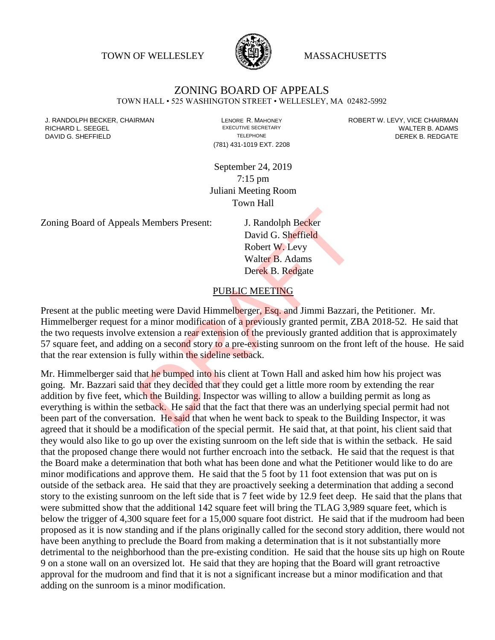TOWN OF WELLESLEY **WASSACHUSETTS** 



## ZONING BOARD OF APPEALS

TOWN HALL • 525 WASHINGTON STREET • WELLESLEY, MA 02482-5992

(781) 431-1019 EXT. 2208

J. RANDOLPH BECKER, CHAIRMAN LENORE R. MAHONEY ROBERT W. LEVY, VICE CHAIRMAN RICHARD L. SEEGEL **EXECUTIVE SECRETARY CONTROLL SEEGETARY** WALTER B. ADAMS DAVID G. SHEFFIELD **TELEPHONE** TELEPHONE TELEPHONE **TELEPHONE DEREK B. REDGATE** 

> September 24, 2019 7:15 pm Juliani Meeting Room Town Hall

Zoning Board of Appeals Members Present: J. Randolph Becker

David G. Sheffield Robert W. Levy Walter B. Adams Derek B. Redgate

## PUBLIC MEETING

Present at the public meeting were David Himmelberger, Esq. and Jimmi Bazzari, the Petitioner. Mr. Himmelberger request for a minor modification of a previously granted permit, ZBA 2018-52. He said that the two requests involve extension a rear extension of the previously granted addition that is approximately 57 square feet, and adding on a second story to a pre-existing sunroom on the front left of the house. He said that the rear extension is fully within the sideline setback.

Mr. Himmelberger said that he bumped into his client at Town Hall and asked him how his project was going. Mr. Bazzari said that they decided that they could get a little more room by extending the rear addition by five feet, which the Building. Inspector was willing to allow a building permit as long as everything is within the setback. He said that the fact that there was an underlying special permit had not been part of the conversation. He said that when he went back to speak to the Building Inspector, it was agreed that it should be a modification of the special permit. He said that, at that point, his client said that they would also like to go up over the existing sunroom on the left side that is within the setback. He said that the proposed change there would not further encroach into the setback. He said that the request is that the Board make a determination that both what has been done and what the Petitioner would like to do are minor modifications and approve them. He said that the 5 foot by 11 foot extension that was put on is outside of the setback area. He said that they are proactively seeking a determination that adding a second story to the existing sunroom on the left side that is 7 feet wide by 12.9 feet deep. He said that the plans that were submitted show that the additional 142 square feet will bring the TLAG 3,989 square feet, which is below the trigger of 4,300 square feet for a 15,000 square foot district. He said that if the mudroom had been proposed as it is now standing and if the plans originally called for the second story addition, there would not have been anything to preclude the Board from making a determination that is it not substantially more detrimental to the neighborhood than the pre-existing condition. He said that the house sits up high on Route 9 on a stone wall on an oversized lot. He said that they are hoping that the Board will grant retroactive approval for the mudroom and find that it is not a significant increase but a minor modification and that adding on the sunroom is a minor modification. J. Randolph Becker<br>David G. Sheffield<br>Robert W. Levy<br>Walter B. Adams<br>Derek B. Redgate<br>PUBLIC MEETING<br>ting were David Himmelberger, Esq. and Jimmi Bazzari,<br>r a minor modification of a previously granted permit, Zi<br>extension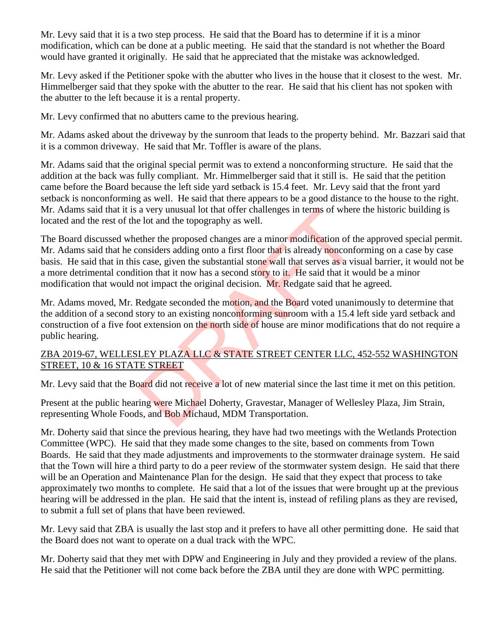Mr. Levy said that it is a two step process. He said that the Board has to determine if it is a minor modification, which can be done at a public meeting. He said that the standard is not whether the Board would have granted it originally. He said that he appreciated that the mistake was acknowledged.

Mr. Levy asked if the Petitioner spoke with the abutter who lives in the house that it closest to the west. Mr. Himmelberger said that they spoke with the abutter to the rear. He said that his client has not spoken with the abutter to the left because it is a rental property.

Mr. Levy confirmed that no abutters came to the previous hearing.

Mr. Adams asked about the driveway by the sunroom that leads to the property behind. Mr. Bazzari said that it is a common driveway. He said that Mr. Toffler is aware of the plans.

Mr. Adams said that the original special permit was to extend a nonconforming structure. He said that the addition at the back was fully compliant. Mr. Himmelberger said that it still is. He said that the petition came before the Board because the left side yard setback is 15.4 feet. Mr. Levy said that the front yard setback is nonconforming as well. He said that there appears to be a good distance to the house to the right. Mr. Adams said that it is a very unusual lot that offer challenges in terms of where the historic building is located and the rest of the lot and the topography as well.

The Board discussed whether the proposed changes are a minor modification of the approved special permit. Mr. Adams said that he considers adding onto a first floor that is already nonconforming on a case by case basis. He said that in this case, given the substantial stone wall that serves as a visual barrier, it would not be a more detrimental condition that it now has a second story to it. He said that it would be a minor modification that would not impact the original decision. Mr. Redgate said that he agreed. a very unusual lot that ofter challenges in terms of where<br>
a lot and the topography as well.<br>
Ether the proposed changes are a minor modification of the onsiders adding onto a first floor that is already nonconfor<br>
scase,

Mr. Adams moved, Mr. Redgate seconded the motion, and the Board voted unanimously to determine that the addition of a second story to an existing nonconforming sunroom with a 15.4 left side yard setback and construction of a five foot extension on the north side of house are minor modifications that do not require a public hearing.

## ZBA 2019-67, WELLESLEY PLAZA LLC & STATE STREET CENTER LLC, 452-552 WASHINGTON STREET, 10 & 16 STATE STREET

Mr. Levy said that the Board did not receive a lot of new material since the last time it met on this petition.

Present at the public hearing were Michael Doherty, Gravestar, Manager of Wellesley Plaza, Jim Strain, representing Whole Foods, and Bob Michaud, MDM Transportation.

Mr. Doherty said that since the previous hearing, they have had two meetings with the Wetlands Protection Committee (WPC). He said that they made some changes to the site, based on comments from Town Boards. He said that they made adjustments and improvements to the stormwater drainage system. He said that the Town will hire a third party to do a peer review of the stormwater system design. He said that there will be an Operation and Maintenance Plan for the design. He said that they expect that process to take approximately two months to complete. He said that a lot of the issues that were brought up at the previous hearing will be addressed in the plan. He said that the intent is, instead of refiling plans as they are revised, to submit a full set of plans that have been reviewed.

Mr. Levy said that ZBA is usually the last stop and it prefers to have all other permitting done. He said that the Board does not want to operate on a dual track with the WPC.

Mr. Doherty said that they met with DPW and Engineering in July and they provided a review of the plans. He said that the Petitioner will not come back before the ZBA until they are done with WPC permitting.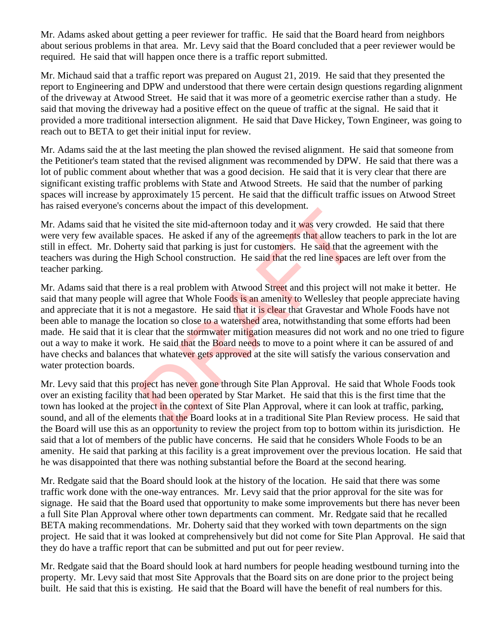Mr. Adams asked about getting a peer reviewer for traffic. He said that the Board heard from neighbors about serious problems in that area. Mr. Levy said that the Board concluded that a peer reviewer would be required. He said that will happen once there is a traffic report submitted.

Mr. Michaud said that a traffic report was prepared on August 21, 2019. He said that they presented the report to Engineering and DPW and understood that there were certain design questions regarding alignment of the driveway at Atwood Street. He said that it was more of a geometric exercise rather than a study. He said that moving the driveway had a positive effect on the queue of traffic at the signal. He said that it provided a more traditional intersection alignment. He said that Dave Hickey, Town Engineer, was going to reach out to BETA to get their initial input for review.

Mr. Adams said the at the last meeting the plan showed the revised alignment. He said that someone from the Petitioner's team stated that the revised alignment was recommended by DPW. He said that there was a lot of public comment about whether that was a good decision. He said that it is very clear that there are significant existing traffic problems with State and Atwood Streets. He said that the number of parking spaces will increase by approximately 15 percent. He said that the difficult traffic issues on Atwood Street has raised everyone's concerns about the impact of this development.

Mr. Adams said that he visited the site mid-afternoon today and it was very crowded. He said that there were very few available spaces. He asked if any of the agreements that allow teachers to park in the lot are still in effect. Mr. Doherty said that parking is just for customers. He said that the agreement with the teachers was during the High School construction. He said that the red line spaces are left over from the teacher parking.

Mr. Adams said that there is a real problem with Atwood Street and this project will not make it better. He said that many people will agree that Whole Foods is an amenity to Wellesley that people appreciate having and appreciate that it is not a megastore. He said that it is clear that Gravestar and Whole Foods have not been able to manage the location so close to a watershed area, notwithstanding that some efforts had been made. He said that it is clear that the stormwater mitigation measures did not work and no one tried to figure out a way to make it work. He said that the Board needs to move to a point where it can be assured of and have checks and balances that whatever gets approved at the site will satisfy the various conservation and water protection boards. isited the site mid-afternoon today and it was very crowd<br>spaces. He asked if any of the agreements that allow tead<br>ty said that parking is just for customers. He said that the<br>High School construction. He said that the re

Mr. Levy said that this project has never gone through Site Plan Approval. He said that Whole Foods took over an existing facility that had been operated by Star Market. He said that this is the first time that the town has looked at the project in the context of Site Plan Approval, where it can look at traffic, parking, sound, and all of the elements that the Board looks at in a traditional Site Plan Review process. He said that the Board will use this as an opportunity to review the project from top to bottom within its jurisdiction. He said that a lot of members of the public have concerns. He said that he considers Whole Foods to be an amenity. He said that parking at this facility is a great improvement over the previous location. He said that he was disappointed that there was nothing substantial before the Board at the second hearing.

Mr. Redgate said that the Board should look at the history of the location. He said that there was some traffic work done with the one-way entrances. Mr. Levy said that the prior approval for the site was for signage. He said that the Board used that opportunity to make some improvements but there has never been a full Site Plan Approval where other town departments can comment. Mr. Redgate said that he recalled BETA making recommendations. Mr. Doherty said that they worked with town departments on the sign project. He said that it was looked at comprehensively but did not come for Site Plan Approval. He said that they do have a traffic report that can be submitted and put out for peer review.

Mr. Redgate said that the Board should look at hard numbers for people heading westbound turning into the property. Mr. Levy said that most Site Approvals that the Board sits on are done prior to the project being built. He said that this is existing. He said that the Board will have the benefit of real numbers for this.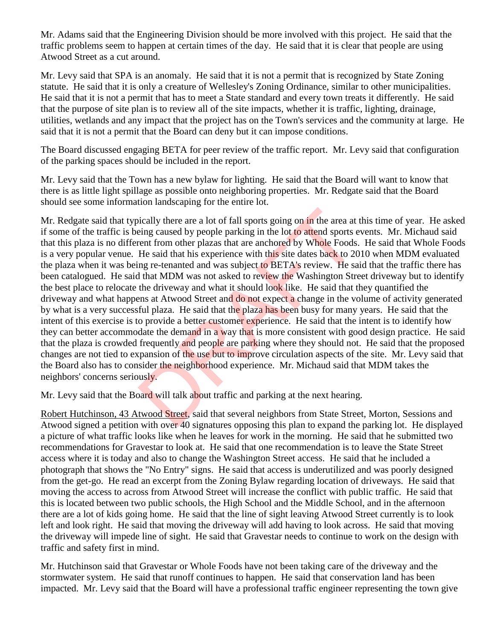Mr. Adams said that the Engineering Division should be more involved with this project. He said that the traffic problems seem to happen at certain times of the day. He said that it is clear that people are using Atwood Street as a cut around.

Mr. Levy said that SPA is an anomaly. He said that it is not a permit that is recognized by State Zoning statute. He said that it is only a creature of Wellesley's Zoning Ordinance, similar to other municipalities. He said that it is not a permit that has to meet a State standard and every town treats it differently. He said that the purpose of site plan is to review all of the site impacts, whether it is traffic, lighting, drainage, utilities, wetlands and any impact that the project has on the Town's services and the community at large. He said that it is not a permit that the Board can deny but it can impose conditions.

The Board discussed engaging BETA for peer review of the traffic report. Mr. Levy said that configuration of the parking spaces should be included in the report.

Mr. Levy said that the Town has a new bylaw for lighting. He said that the Board will want to know that there is as little light spillage as possible onto neighboring properties. Mr. Redgate said that the Board should see some information landscaping for the entire lot.

Mr. Redgate said that typically there are a lot of fall sports going on in the area at this time of year. He asked if some of the traffic is being caused by people parking in the lot to attend sports events. Mr. Michaud said that this plaza is no different from other plazas that are anchored by Whole Foods. He said that Whole Foods is a very popular venue. He said that his experience with this site dates back to 2010 when MDM evaluated the plaza when it was being re-tenanted and was subject to BETA's review. He said that the traffic there has been catalogued. He said that MDM was not asked to review the Washington Street driveway but to identify the best place to relocate the driveway and what it should look like. He said that they quantified the driveway and what happens at Atwood Street and do not expect a change in the volume of activity generated by what is a very successful plaza. He said that the plaza has been busy for many years. He said that the intent of this exercise is to provide a better customer experience. He said that the intent is to identify how they can better accommodate the demand in a way that is more consistent with good design practice. He said that the plaza is crowded frequently and people are parking where they should not. He said that the proposed changes are not tied to expansion of the use but to improve circulation aspects of the site. Mr. Levy said that the Board also has to consider the neighborhood experience. Mr. Michaud said that MDM takes the neighbors' concerns seriously. ically there are a lot of fall sports going on in the area at<br>eing caused by people parking in the lot to attend sports e<br>rent from other plazas that are anchored by Whole Foods<br>He said that his experience with this site d

Mr. Levy said that the Board will talk about traffic and parking at the next hearing.

Robert Hutchinson, 43 Atwood Street, said that several neighbors from State Street, Morton, Sessions and Atwood signed a petition with over 40 signatures opposing this plan to expand the parking lot. He displayed a picture of what traffic looks like when he leaves for work in the morning. He said that he submitted two recommendations for Gravestar to look at. He said that one recommendation is to leave the State Street access where it is today and also to change the Washington Street access. He said that he included a photograph that shows the "No Entry" signs. He said that access is underutilized and was poorly designed from the get-go. He read an excerpt from the Zoning Bylaw regarding location of driveways. He said that moving the access to across from Atwood Street will increase the conflict with public traffic. He said that this is located between two public schools, the High School and the Middle School, and in the afternoon there are a lot of kids going home. He said that the line of sight leaving Atwood Street currently is to look left and look right. He said that moving the driveway will add having to look across. He said that moving the driveway will impede line of sight. He said that Gravestar needs to continue to work on the design with traffic and safety first in mind.

Mr. Hutchinson said that Gravestar or Whole Foods have not been taking care of the driveway and the stormwater system. He said that runoff continues to happen. He said that conservation land has been impacted. Mr. Levy said that the Board will have a professional traffic engineer representing the town give